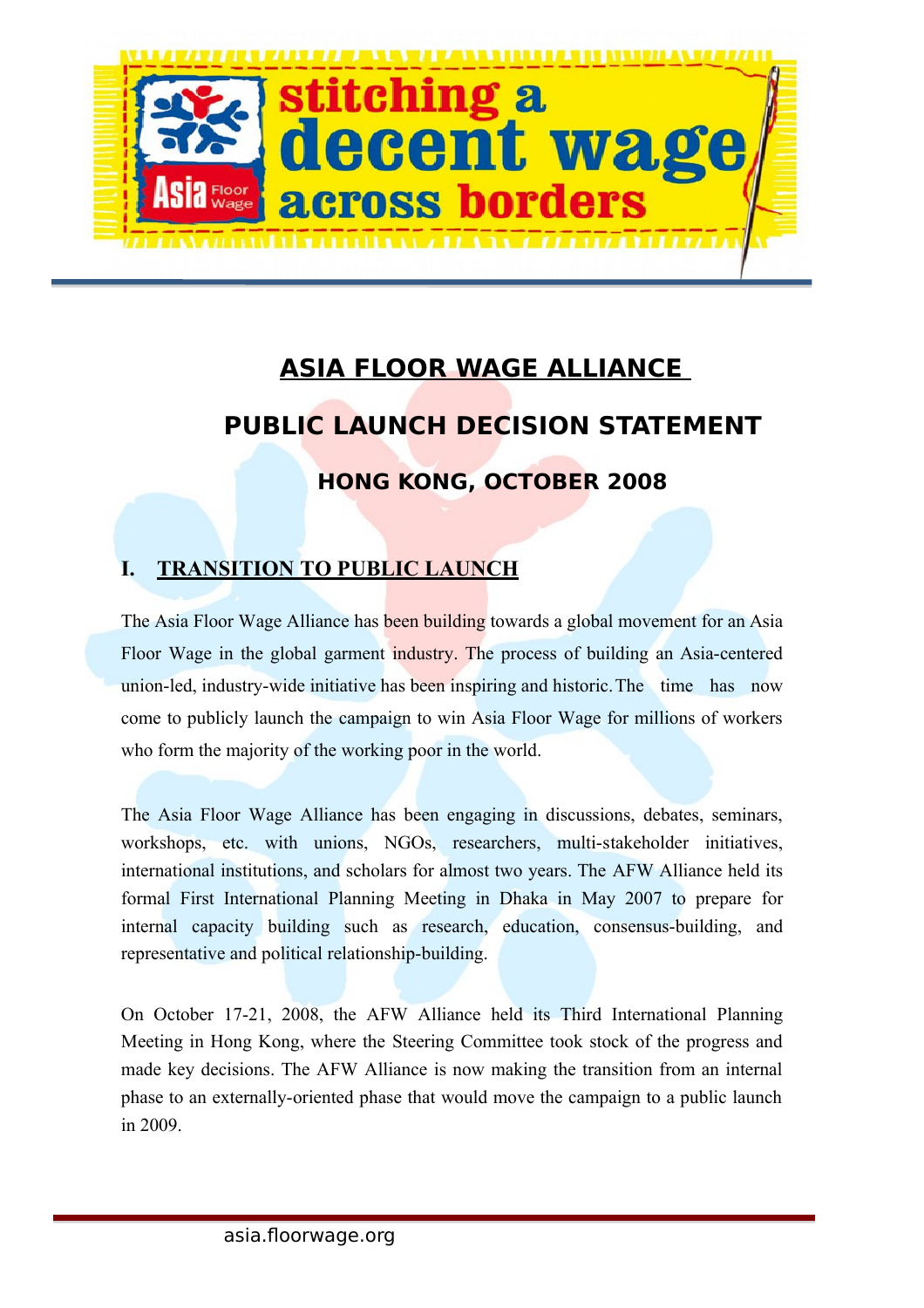

# **ASIA FLOOR WAGE ALLIANCE PUBLIC LAUNCH DECISION STATEMENT**

# **HONG KONG, OCTOBER 2008**

# **I. TRANSITION TO PUBLIC LAUNCH**

The Asia Floor Wage Alliance has been building towards a global movement for an Asia Floor Wage in the global garment industry. The process of building an Asia-centered union-led, industry-wide initiative has been inspiring and historic.The time has now come to publicly launch the campaign to win Asia Floor Wage for millions of workers who form the majority of the working poor in the world.

The Asia Floor Wage Alliance has been engaging in discussions, debates, seminars, workshops, etc. with unions, NGOs, researchers, multi-stakeholder initiatives, international institutions, and scholars for almost two years. The AFW Alliance held its formal First International Planning Meeting in Dhaka in May 2007 to prepare for internal capacity building such as research, education, consensus-building, and representative and political relationship-building.

On October 17-21, 2008, the AFW Alliance held its Third International Planning Meeting in Hong Kong, where the Steering Committee took stock of the progress and made key decisions. The AFW Alliance is now making the transition from an internal phase to an externally-oriented phase that would move the campaign to a public launch in 2009.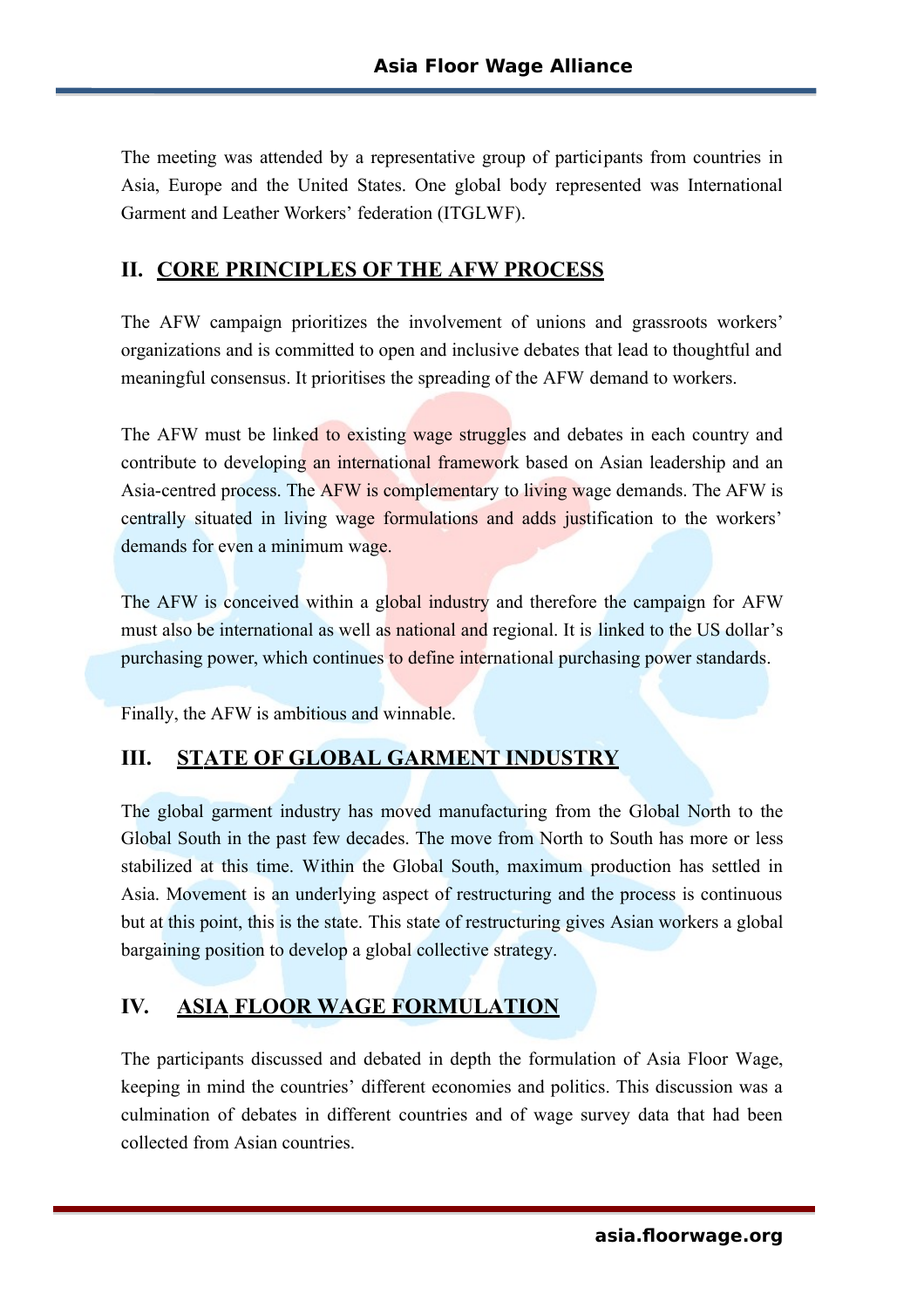The meeting was attended by a representative group of participants from countries in Asia, Europe and the United States. One global body represented was International Garment and Leather Workers' federation (ITGLWF).

#### **II. CORE PRINCIPLES OF THE AFW PROCESS**

The AFW campaign prioritizes the involvement of unions and grassroots workers' organizations and is committed to open and inclusive debates that lead to thoughtful and meaningful consensus. It prioritises the spreading of the AFW demand to workers.

The AFW must be linked to existing wage struggles and debates in each country and contribute to developing an international framework based on Asian leadership and an Asia-centred process. The AFW is complementary to living wage demands. The AFW is centrally situated in living wage formulations and adds justification to the workers' demands for even a minimum wage.

The AFW is conceived within a global industry and therefore the campaign for AFW must also be international as well as national and regional. It is linked to the US dollar's purchasing power, which continues to define international purchasing power standards.

Finally, the AFW is ambitious and winnable.

#### **III. STATE OF GLOBAL GARMENT INDUSTRY**

The global garment industry has moved manufacturing from the Global North to the Global South in the past few decades. The move from North to South has more or less stabilized at this time. Within the Global South, maximum production has settled in Asia. Movement is an underlying aspect of restructuring and the process is continuous but at this point, this is the state. This state of restructuring gives Asian workers a global bargaining position to develop a global collective strategy.

# **IV. ASIA FLOOR WAGE FORMULATION**

The participants discussed and debated in depth the formulation of Asia Floor Wage, keeping in mind the countries' different economies and politics. This discussion was a culmination of debates in different countries and of wage survey data that had been collected from Asian countries.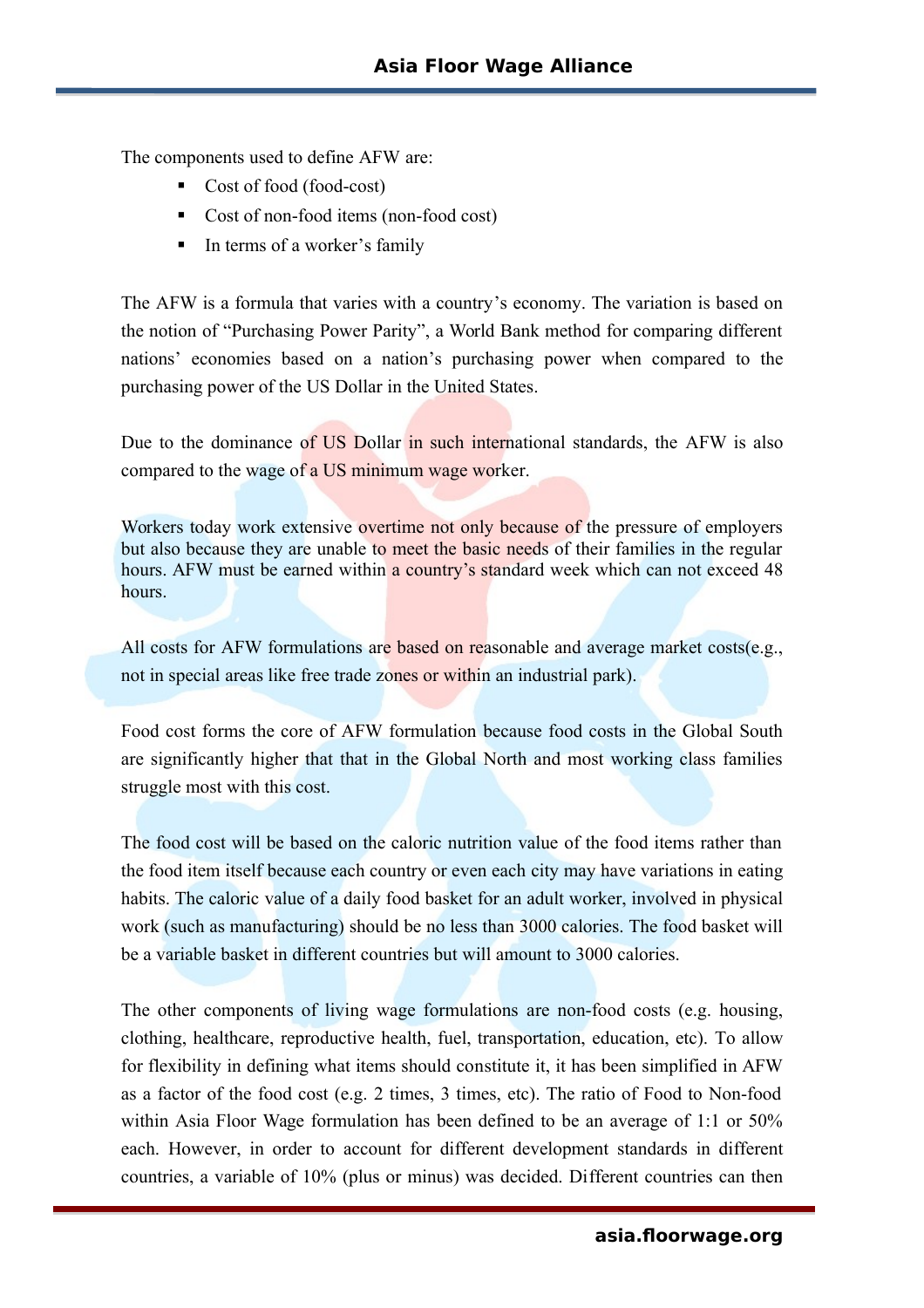The components used to define AFW are:

- Cost of food (food-cost)
- Cost of non-food items (non-food cost)
- In terms of a worker's family

The AFW is a formula that varies with a country's economy. The variation is based on the notion of "Purchasing Power Parity", a World Bank method for comparing different nations' economies based on a nation's purchasing power when compared to the purchasing power of the US Dollar in the United States.

Due to the dominance of US Dollar in such international standards, the AFW is also compared to the wage of a US minimum wage worker.

Workers today work extensive overtime not only because of the pressure of employers but also because they are unable to meet the basic needs of their families in the regular hours. AFW must be earned within a country's standard week which can not exceed 48 hours.

All costs for AFW formulations are based on reasonable and average market costs(e.g., not in special areas like free trade zones or within an industrial park).

Food cost forms the core of AFW formulation because food costs in the Global South are significantly higher that that in the Global North and most working class families struggle most with this cost.

The food cost will be based on the caloric nutrition value of the food items rather than the food item itself because each country or even each city may have variations in eating habits. The caloric value of a daily food basket for an adult worker, involved in physical work (such as manufacturing) should be no less than 3000 calories. The food basket will be a variable basket in different countries but will amount to 3000 calories.

The other components of living wage formulations are non-food costs (e.g. housing, clothing, healthcare, reproductive health, fuel, transportation, education, etc). To allow for flexibility in defining what items should constitute it, it has been simplified in AFW as a factor of the food cost (e.g. 2 times, 3 times, etc). The ratio of Food to Non-food within Asia Floor Wage formulation has been defined to be an average of 1:1 or 50% each. However, in order to account for different development standards in different countries, a variable of 10% (plus or minus) was decided. Different countries can then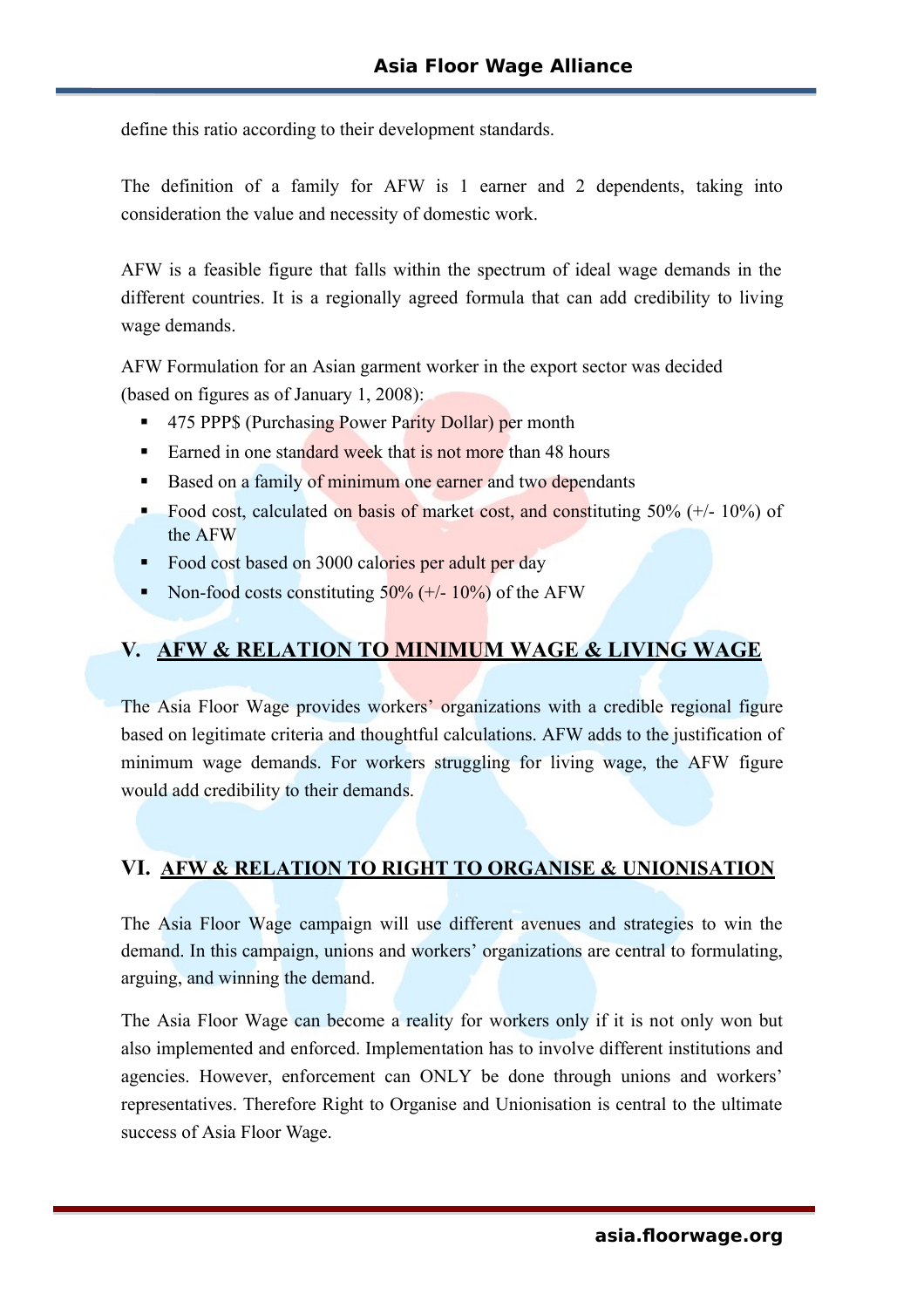define this ratio according to their development standards.

The definition of a family for AFW is 1 earner and 2 dependents, taking into consideration the value and necessity of domestic work.

AFW is a feasible figure that falls within the spectrum of ideal wage demands in the different countries. It is a regionally agreed formula that can add credibility to living wage demands.

AFW Formulation for an Asian garment worker in the export sector was decided (based on figures as of January 1, 2008):

- 475 PPP\$ (Purchasing Power Parity Dollar) per month
- Earned in one standard week that is not more than 48 hours
- Based on a family of minimum one earner and two dependants
- Food cost, calculated on basis of market cost, and constituting  $50\%$  (+/- 10%) of the AFW
- Food cost based on 3000 calories per adult per day
- Non-food costs constituting  $50\%$  (+/- 10%) of the AFW

#### **V. AFW & RELATION TO MINIMUM WAGE & LIVING WAGE**

The Asia Floor Wage provides workers' organizations with a credible regional figure based on legitimate criteria and thoughtful calculations. AFW adds to the justification of minimum wage demands. For workers struggling for living wage, the AFW figure would add credibility to their demands.

#### **VI. AFW & RELATION TO RIGHT TO ORGANISE & UNIONISATION**

The Asia Floor Wage campaign will use different avenues and strategies to win the demand. In this campaign, unions and workers' organizations are central to formulating, arguing, and winning the demand.

The Asia Floor Wage can become a reality for workers only if it is not only won but also implemented and enforced. Implementation has to involve different institutions and agencies. However, enforcement can ONLY be done through unions and workers' representatives. Therefore Right to Organise and Unionisation is central to the ultimate success of Asia Floor Wage.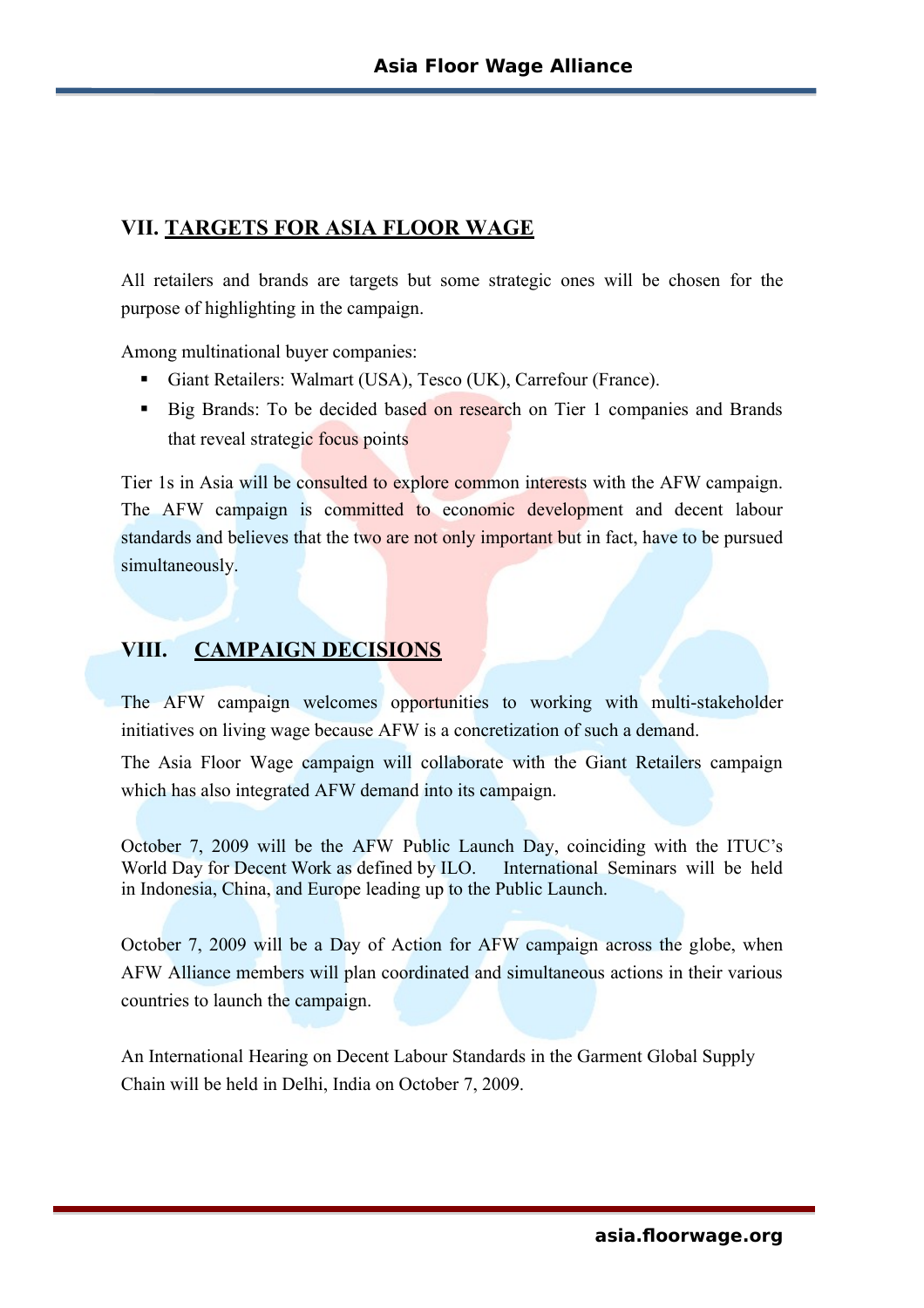### **VII. TARGETS FOR ASIA FLOOR WAGE**

All retailers and brands are targets but some strategic ones will be chosen for the purpose of highlighting in the campaign.

Among multinational buyer companies:

- Giant Retailers: Walmart (USA), Tesco (UK), Carrefour (France).
- Big Brands: To be decided based on research on Tier 1 companies and Brands that reveal strategic focus points

Tier 1s in Asia will be consulted to explore common interests with the AFW campaign. The AFW campaign is committed to economic development and decent labour standards and believes that the two are not only important but in fact, have to be pursued simultaneously.

# **VIII.** CAMPAIGN DECISIONS

The AFW campaign welcomes opportunities to working with multi-stakeholder initiatives on living wage because AFW is a concretization of such a demand.

The Asia Floor Wage campaign will collaborate with the Giant Retailers campaign which has also integrated AFW demand into its campaign.

October 7, 2009 will be the AFW Public Launch Day, coinciding with the ITUC's World Day for Decent Work as defined by ILO. International Seminars will be held in Indonesia, China, and Europe leading up to the Public Launch.

October 7, 2009 will be a Day of Action for AFW campaign across the globe, when AFW Alliance members will plan coordinated and simultaneous actions in their various countries to launch the campaign.

An International Hearing on Decent Labour Standards in the Garment Global Supply Chain will be held in Delhi, India on October 7, 2009.